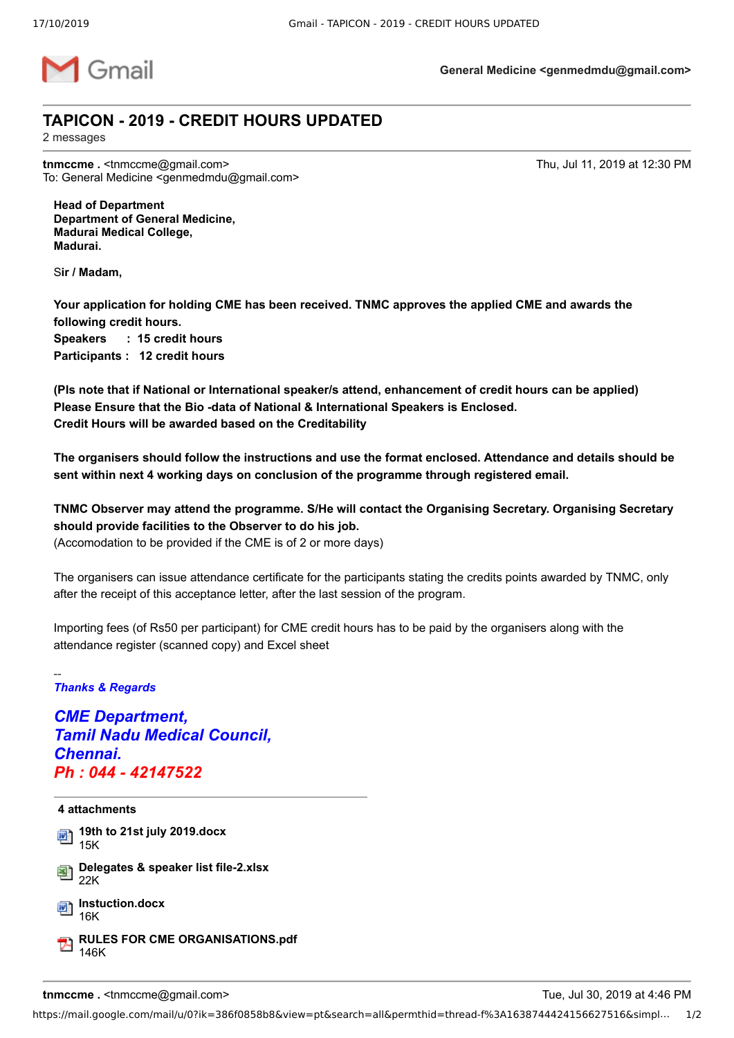

**General Medicine <genmedmdu@gmail.com>**

## **TAPICON - 2019 - CREDIT HOURS UPDATED**

2 messages

**tnmccme .** <tnmccme@gmail.com> Thu, Jul 11, 2019 at 12:30 PM To: General Medicine <genmedmdu@gmail.com>

**Head of Department Department of General Medicine, Madurai Medical College, Madurai.**

S**ir / Madam,**

**Your application for holding CME has been received. TNMC approves the applied CME and awards the following credit hours. Speakers : 15 credit hours Participants : 12 credit hours**

**(Pls note that if National or International speaker/s attend, enhancement of credit hours can be applied) Please Ensure that the Bio -data of National & International Speakers is Enclosed. Credit Hours will be awarded based on the Creditability**

**The organisers should follow the instructions and use the format enclosed. Attendance and details should be sent within next 4 working days on conclusion of the programme through registered email.**

**TNMC Observer may attend the programme. S/He will contact the Organising Secretary. Organising Secretary should provide facilities to the Observer to do his job.**

(Accomodation to be provided if the CME is of 2 or more days)

The organisers can issue attendance certificate for the participants stating the credits points awarded by TNMC, only after the receipt of this acceptance letter, after the last session of the program.

Importing fees (of Rs50 per participant) for CME credit hours has to be paid by the organisers along with the attendance register (scanned copy) and Excel sheet

## -- *Thanks & Regards*

*CME Department, Tamil Nadu Medical Council, Chennai. Ph : 044 - 42147522*

## **4 attachments 19th to 21st july 2019.docx** 15K **Delegates & speaker list file-2.xlsx** 国 22K **Instuction.docx** 16K **RULES FOR CME ORGANISATIONS.pdf** 146K

**tnmccme .** <tnmccme@gmail.com> Tue, Jul 30, 2019 at 4:46 PM